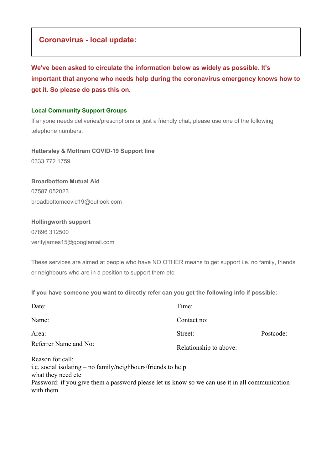## **Coronavirus - local update:**

**We've been asked to circulate the information below as widely as possible. It's important that anyone who needs help during the coronavirus emergency knows how to get it. So please do pass this on.**

#### **Local Community Support Groups**

If anyone needs deliveries/prescriptions or just a friendly chat, please use one of the following telephone numbers:

**Hattersley & Mottram COVID-19 Support line** 0333 772 1759

# **Broadbottom Mutual Aid**

07587 052023 broadbottomcovid19@outlook.com

## **Hollingworth support** 07896 312500 verityjames15@googlemail.com

These services are aimed at people who have NO OTHER means to get support i.e. no family, friends or neighbours who are in a position to support them etc

#### **If you have someone you want to directly refer can you get the following info if possible:**

| Date:                                                                                                  | Time:                  |           |
|--------------------------------------------------------------------------------------------------------|------------------------|-----------|
| Name:                                                                                                  | Contact no:            |           |
| Area:                                                                                                  | Street:                | Postcode: |
| Referrer Name and No:                                                                                  | Relationship to above: |           |
| Reason for call:<br>i.e. social isolating – no family/neighbours/friends to help<br>what they need etc |                        |           |

Password: if you give them a password please let us know so we can use it in all communication with them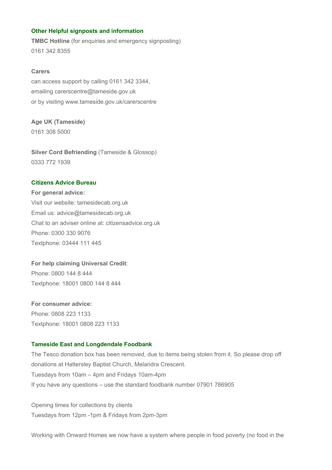#### **Other Helpful signposts and information**

**TMBC Hotline** (for enquiries and emergency signposting) 0161 342 8355

#### **Carers**

can access support by calling 0161 342 3344, emailing carerscentre@tameside.gov.uk or by visiting www.tameside.gov.uk/carerscentre

### **Age UK (Tameside)**

0161 308 5000

**Silver Cord Befriending** (Tameside & Glossop) 0333 772 1939

#### **Citizens Advice Bureau**

**For general advice:** Visit our website: tamesidecab.org.uk Email us: advice@tamesidecab.org.uk Chat to an adviser online at: citizensadvice.org.uk Phone: 0300 330 9076 Textphone: 03444 111 445

**For help claiming Universal Credit**: Phone: 0800 144 8 444 Textphone: 18001 0800 144 8 444

**For consumer advice:** Phone: 0808 223 1133 Textphone: 18001 0808 223 1133

#### **Tameside East and Longdendale Foodbank**

The Tesco donation box has been removed, due to items being stolen from it. So please drop off donations at Hattersley Baptist Church, Melandra Crescent. Tuesdays from 10am – 4pm and Fridays 10am-4pm If you have any questions – use the standard foodbank number 07901 786905

Opening times for collections by clients Tuesdays from 12pm -1pm & Fridays from 2pm-3pm

Working with Onward Homes we now have a system where people in food poverty (no food in the